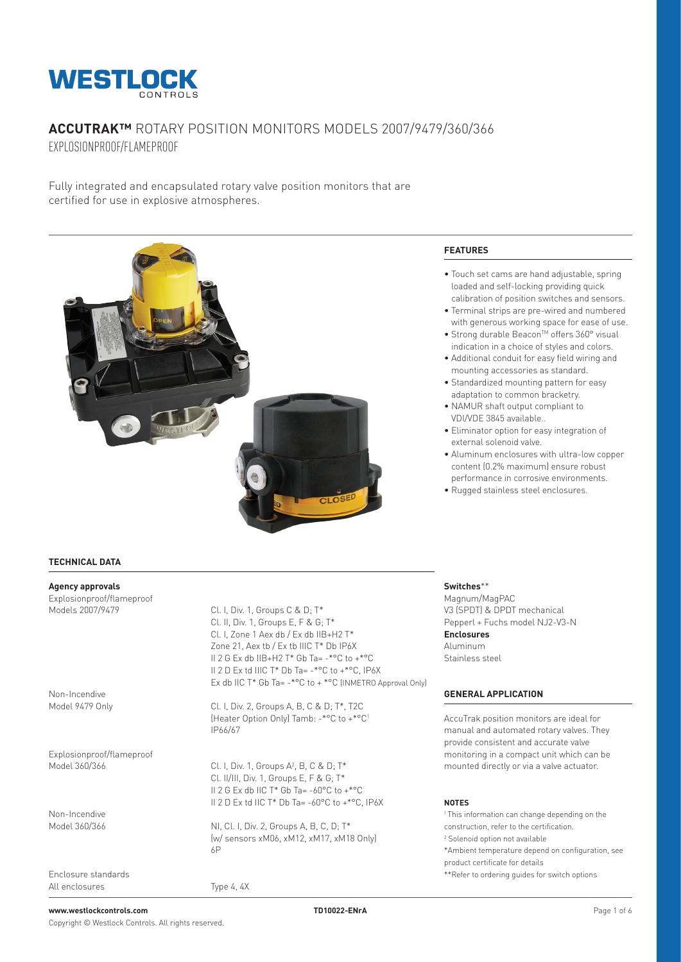

# **ACCUTRAK™** ROTARY POSITION MONITORS MODELS 2007/9479/360/366 EXPLOSIONPROOF/FLAMEPROOF

Fully integrated and encapsulated rotary valve position monitors that are certified for use in explosive atmospheres.



### **TECHNICAL DATA**

**Agency approvals** Explosionproof/flameproof

Non-Incendive<br>Model 9479 Only

Explosionproof/flameproof

Non-Incendive<br>Model 360/366

Enclosure standards All enclosures Type 4, 4X

 $Cl$  I, Div. 1, Groups C & D;  $T^*$ Cl. II, Div. 1, Groups E, F & G; T\* Cl. I, Zone 1 Aex db / Ex db IIB+H2 T\* Zone 21, Aex tb / Ex tb IIIC T\* Db IP6X II 2 G Ex db IIB+H2 T\* Gb Ta= -\*°C to +\*°C II 2 D Ex td IIIC T\* Db Ta= -\*°C to +\*°C, IP6X Ex db IIC T\* Gb Ta= -\*°C to + \*°C (INMETRO Approval Only)

Cl. I, Div. 2, Groups A, B, C & D; T\*, T2C (Heater Option Only) Tamb: -\*°C to +\*°C1 IP66/67

Model 360/366 Cl. I, Div. 1, Groups A<sup>2</sup>, B, C & D; T\* Cl. II/III, Div. 1, Groups E, F & G; T\* II 2 G Ex db IIC T\* Gb Ta= -60°C to +\*°C II 2 D Ex td IIC T\* Db Ta= -60°C to +\*°C, IP6X

> NI, Cl. I, Div. 2, Groups A, B, C, D; T\* (w/ sensors xM06, xM12, xM17, xM18 Only) 6P

# **FEATURES**

- Touch set cams are hand adjustable, spring loaded and self-locking providing quick calibration of position switches and sensors.
- Terminal strips are pre-wired and numbered with generous working space for ease of use.
- Strong durable Beacon™ offers 360° visual indication in a choice of styles and colors.
- Additional conduit for easy field wiring and mounting accessories as standard.
- Standardized mounting pattern for easy adaptation to common bracketry.
- NAMUR shaft output compliant to VDI/VDE 3845 available..
- Eliminator option for easy integration of external solenoid valve.
- Aluminum enclosures with ultra-low copper content (0.2% maximum) ensure robust performance in corrosive environments.
- Rugged stainless steel enclosures.

### **Switches**\*\*

Magnum/MagPAC V3 (SPDT) & DPDT mechanical Pepperl + Fuchs model NJ2-V3-N **Enclosures** Aluminum Stainless steel

# **GENERAL APPLICATION**

AccuTrak position monitors are ideal for manual and automated rotary valves. They provide consistent and accurate valve monitoring in a compact unit which can be mounted directly or via a valve actuator.

### **NOTES**

1 This information can change depending on the construction, refer to the certification. <sup>2</sup> Solenoid option not available \*Ambient temperature depend on configuration, see product certificate for details

\*\*Refer to ordering guides for switch options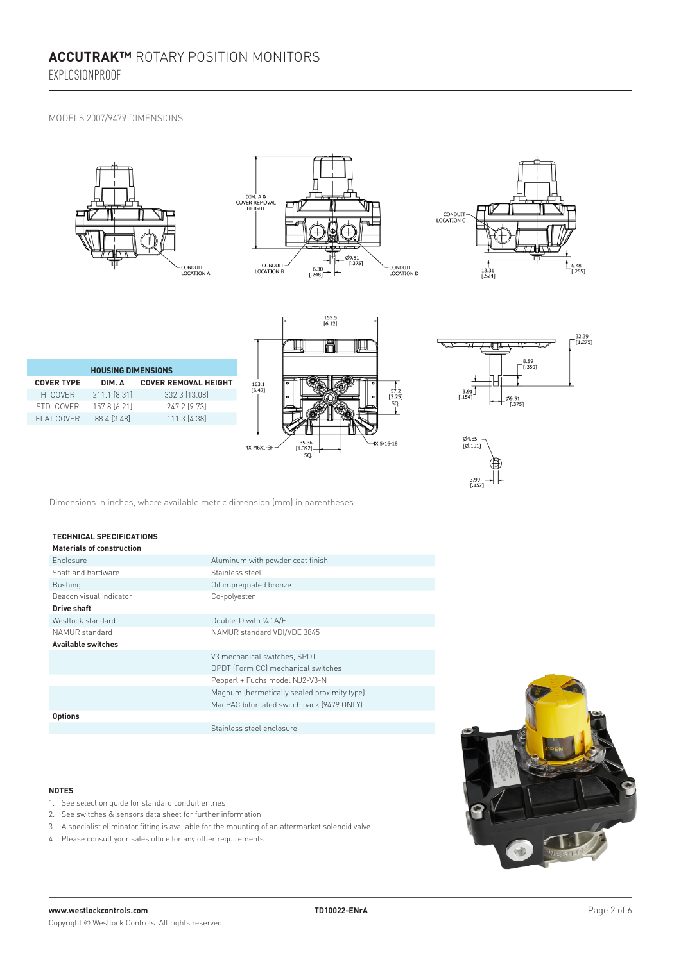EXPLOSIONPROOF

### MODELS 2007/9479 DIMENSIONS







| <b>HOUSING DIMENSIONS</b> |              |                             |  |  |  |  |  |  |  |
|---------------------------|--------------|-----------------------------|--|--|--|--|--|--|--|
| <b>COVER TYPE</b>         | DIM. A       | <b>COVER REMOVAL HEIGHT</b> |  |  |  |  |  |  |  |
| HI COVER                  | 211.1 [8.31] | 332.3 [13.08]               |  |  |  |  |  |  |  |
| STD COVER                 | 157.8 [6.21] | 247.2 [9.73]                |  |  |  |  |  |  |  |
| FI AT COVER               | 88.4 [3.48]  | 111.3 [4.38]                |  |  |  |  |  |  |  |
|                           |              |                             |  |  |  |  |  |  |  |







Dimensions in inches, where available metric dimension (mm) in parentheses

| <b>TECHNICAL SPECIFICATIONS</b><br><b>Materials of construction</b> |                                             |
|---------------------------------------------------------------------|---------------------------------------------|
| Enclosure                                                           | Aluminum with powder coat finish            |
| Shaft and hardware                                                  | Stainless steel                             |
| <b>Bushing</b>                                                      | Oil impregnated bronze                      |
| Beacon visual indicator                                             | Co-polyester                                |
| <b>Drive shaft</b>                                                  |                                             |
| Westlock standard                                                   | Double-D with 1/4" A/F                      |
| NAMUR standard                                                      | NAMUR standard VDI/VDE 3845                 |
| <b>Available switches</b>                                           |                                             |
|                                                                     | V3 mechanical switches, SPDT                |
|                                                                     | DPDT (Form CC) mechanical switches          |
|                                                                     | Pepperl + Fuchs model NJ2-V3-N              |
|                                                                     | Magnum (hermetically sealed proximity type) |
|                                                                     | MagPAC bifurcated switch pack (9479 ONLY)   |
| <b>Options</b>                                                      |                                             |
|                                                                     | Stainless steel enclosure                   |

#### **NOTES**

- 1. See selection guide for standard conduit entries
- 2. See switches & sensors data sheet for further information
- 3. A specialist eliminator fitting is available for the mounting of an aftermarket solenoid valve
- 4. Please consult your sales office for any other requirements

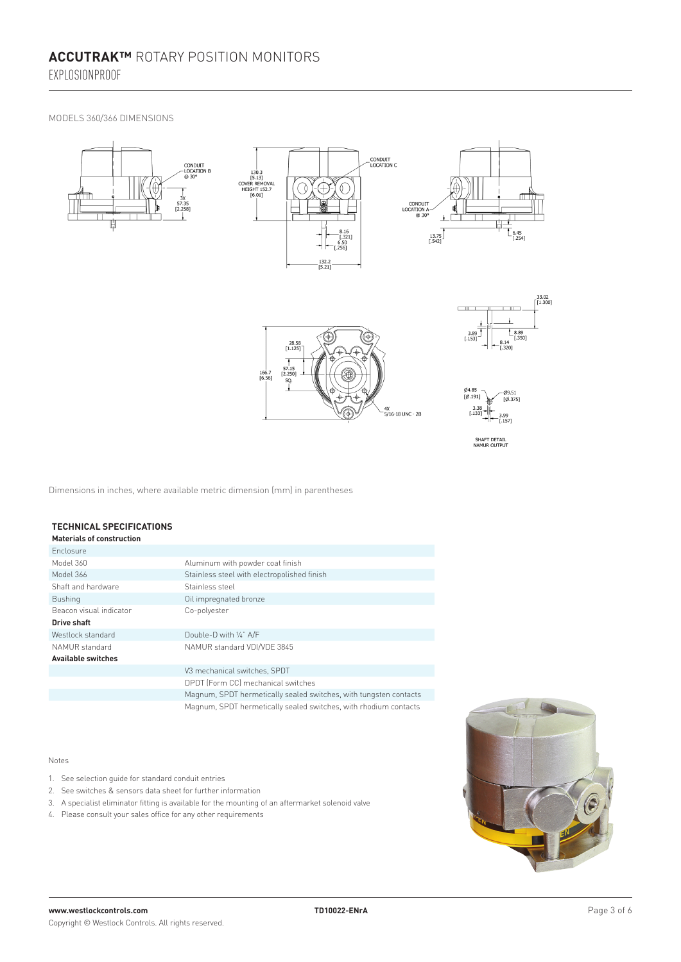MODELS 360/366 DIMENSIONS



Dimensions in inches, where available metric dimension (mm) in parentheses

#### **TECHNICAL SPECIFICATIONS Materials of construction**

| <b>Materials of construction</b> |                                                                   |
|----------------------------------|-------------------------------------------------------------------|
| <b>Enclosure</b>                 |                                                                   |
| Model 360                        | Aluminum with powder coat finish                                  |
| Model 366                        | Stainless steel with electropolished finish                       |
| Shaft and hardware               | Stainless steel                                                   |
| <b>Bushing</b>                   | Oil impregnated bronze                                            |
| Beacon visual indicator          | Co-polyester                                                      |
| Drive shaft                      |                                                                   |
| Westlock standard                | Double-D with 1/4" A/F                                            |
| NAMUR standard                   | NAMUR standard VDI/VDE 3845                                       |
| <b>Available switches</b>        |                                                                   |
|                                  | V3 mechanical switches, SPDT                                      |
|                                  | DPDT (Form CC) mechanical switches                                |
|                                  | Magnum, SPDT hermetically sealed switches, with tungsten contacts |
|                                  | Magnum, SPDT hermetically sealed switches, with rhodium contacts  |

### Notes

- 1. See selection guide for standard conduit entries
- 2. See switches & sensors data sheet for further information
- 3. A specialist eliminator fitting is available for the mounting of an aftermarket solenoid valve
- 4. Please consult your sales office for any other requirements

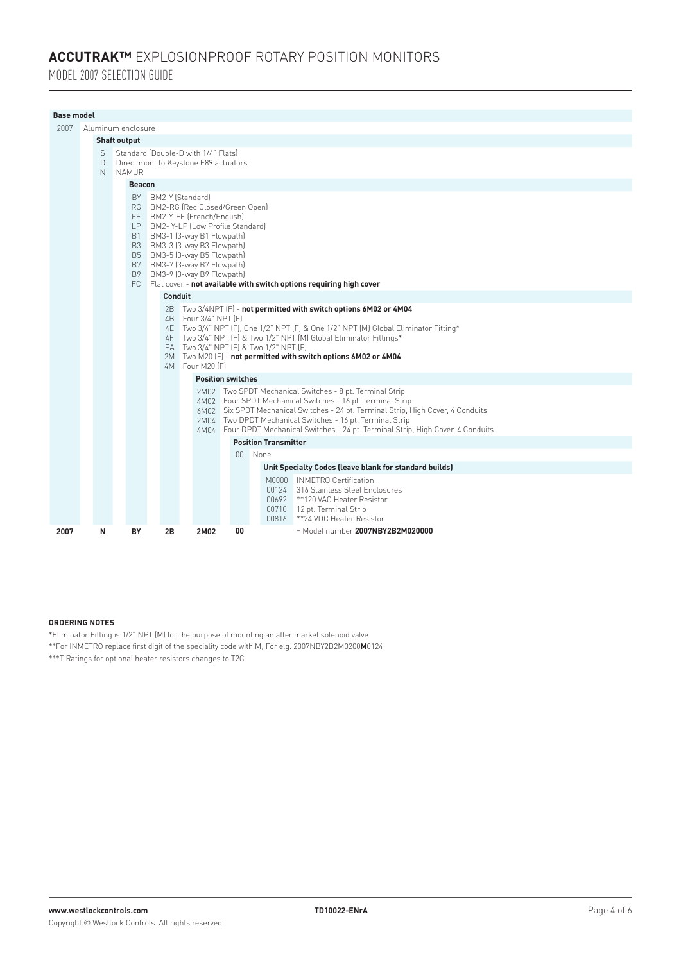# **ACCUTRAK™** EXPLOSIONPROOF ROTARY POSITION MONITORS

MODEL 2007 SELECTION GUIDE

| <b>Base model</b> |                                                                                                                       |   |                     |               |                                             |         |                                                                                                                                                                                                                                                                                                   |    |                                        |                                                                                                                                                                                                                                                                                                                                                                              |  |  |  |
|-------------------|-----------------------------------------------------------------------------------------------------------------------|---|---------------------|---------------|---------------------------------------------|---------|---------------------------------------------------------------------------------------------------------------------------------------------------------------------------------------------------------------------------------------------------------------------------------------------------|----|----------------------------------------|------------------------------------------------------------------------------------------------------------------------------------------------------------------------------------------------------------------------------------------------------------------------------------------------------------------------------------------------------------------------------|--|--|--|
| 2007              | Aluminum enclosure                                                                                                    |   |                     |               |                                             |         |                                                                                                                                                                                                                                                                                                   |    |                                        |                                                                                                                                                                                                                                                                                                                                                                              |  |  |  |
|                   |                                                                                                                       |   | <b>Shaft output</b> |               |                                             |         |                                                                                                                                                                                                                                                                                                   |    |                                        |                                                                                                                                                                                                                                                                                                                                                                              |  |  |  |
|                   | Standard (Double-D with 1/4" Flats)<br>S<br>Direct mont to Keystone F89 actuators<br>D<br><b>NAMUR</b><br>$\mathbb N$ |   |                     |               |                                             |         |                                                                                                                                                                                                                                                                                                   |    |                                        |                                                                                                                                                                                                                                                                                                                                                                              |  |  |  |
|                   |                                                                                                                       |   |                     | <b>Beacon</b> |                                             |         |                                                                                                                                                                                                                                                                                                   |    |                                        |                                                                                                                                                                                                                                                                                                                                                                              |  |  |  |
|                   |                                                                                                                       |   |                     |               | BY BM2-Y (Standard)                         | Conduit | RG BM2-RG (Red Closed/Green Open)<br>FE BM2-Y-FE (French/English)<br>LP BM2-Y-LP (Low Profile Standard)<br>B1 BM3-1 (3-way B1 Flowpath)<br>B3 BM3-3 (3-way B3 Flowpath)<br>B5 BM3-5 (3-way B5 Flowpath)<br>B7 BM3-7 (3-way B7 Flowpath)<br>B9 BM3-9 (3-way B9 Flowpath)<br>4B   Four 3/4" NPT [F] |    | EA Two 3/4" NPT [F] & Two 1/2" NPT [F] | FC Flat cover - not available with switch options requiring high cover<br>2B Two 3/4NPT (F) - not permitted with switch options 6M02 or 4M04<br>4E Two 3/4" NPT (F), One 1/2" NPT (F) & One 1/2" NPT (M) Global Eliminator Fitting*<br>4F Two 3/4" NPT (F) & Two 1/2" NPT (M) Global Eliminator Fittings*<br>2M Two M20 (F) - not permitted with switch options 6M02 or 4M04 |  |  |  |
|                   |                                                                                                                       |   |                     |               | 4M Four M20 [F]<br><b>Position switches</b> |         |                                                                                                                                                                                                                                                                                                   |    |                                        |                                                                                                                                                                                                                                                                                                                                                                              |  |  |  |
|                   |                                                                                                                       |   |                     |               |                                             |         |                                                                                                                                                                                                                                                                                                   |    |                                        | 2M02 Two SPDT Mechanical Switches - 8 pt. Terminal Strip<br>4M02 Four SPDT Mechanical Switches - 16 pt. Terminal Strip<br>6M02 Six SPDT Mechanical Switches - 24 pt. Terminal Strip, High Cover, 4 Conduits<br>2M04 Two DPDT Mechanical Switches - 16 pt. Terminal Strip<br>4M04 Four DPDT Mechanical Switches - 24 pt. Terminal Strip, High Cover, 4 Conduits               |  |  |  |
|                   |                                                                                                                       |   |                     |               |                                             |         |                                                                                                                                                                                                                                                                                                   |    | <b>Position Transmitter</b>            |                                                                                                                                                                                                                                                                                                                                                                              |  |  |  |
|                   |                                                                                                                       |   |                     |               |                                             |         |                                                                                                                                                                                                                                                                                                   |    | 00 None                                |                                                                                                                                                                                                                                                                                                                                                                              |  |  |  |
|                   |                                                                                                                       |   |                     |               |                                             |         |                                                                                                                                                                                                                                                                                                   |    |                                        | Unit Specialty Codes (leave blank for standard builds)                                                                                                                                                                                                                                                                                                                       |  |  |  |
|                   |                                                                                                                       |   |                     |               |                                             |         |                                                                                                                                                                                                                                                                                                   |    | 00816                                  | M0000 INMETRO Certification<br>00124 316 Stainless Steel Enclosures<br>00692 **120 VAC Heater Resistor<br>00710 12 pt. Terminal Strip<br>**24 VDC Heater Resistor                                                                                                                                                                                                            |  |  |  |
| 2007              |                                                                                                                       | N |                     | BY            | 2B                                          |         | 2M02                                                                                                                                                                                                                                                                                              | 00 |                                        | $=$ Model number 2007NBY2B2M020000                                                                                                                                                                                                                                                                                                                                           |  |  |  |

# **ORDERING NOTES**

\*Eliminator Fitting is 1/2" NPT (M) for the purpose of mounting an after market solenoid valve. \*\*For INMETRO replace first digit of the speciality code with M; For e.g. 2007NBY2B2M0200**M**0124 \*\*\*T Ratings for optional heater resistors changes to T2C.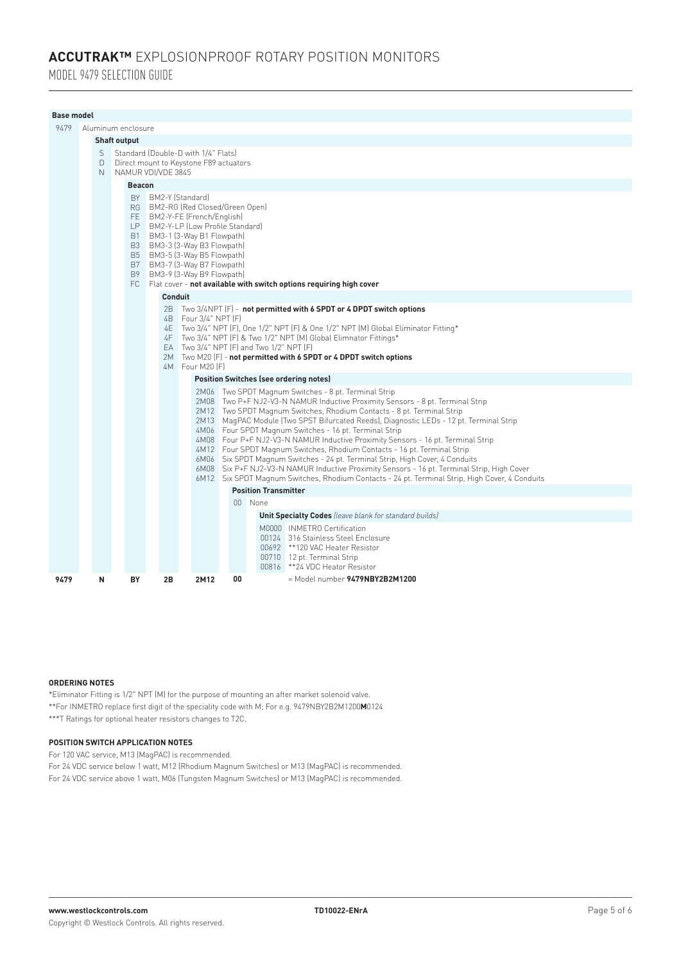# **ACCUTRAK™** EXPLOSIONPROOF ROTARY POSITION MONITORS

MODEL 9479 SELECTION GUIDE

|      | <b>Base model</b>                                                                                                                                                                                                                                                                                                                                                                                                                                                                                                                                                                                                                                                                                                                                                                                                        |             |                     |               |                                                                               |                     |                                                                                                                                                                                                                                                                                                                                                                                                                                                                                                                                                     |                                                                                                                                                                         |  |  |  |  |
|------|--------------------------------------------------------------------------------------------------------------------------------------------------------------------------------------------------------------------------------------------------------------------------------------------------------------------------------------------------------------------------------------------------------------------------------------------------------------------------------------------------------------------------------------------------------------------------------------------------------------------------------------------------------------------------------------------------------------------------------------------------------------------------------------------------------------------------|-------------|---------------------|---------------|-------------------------------------------------------------------------------|---------------------|-----------------------------------------------------------------------------------------------------------------------------------------------------------------------------------------------------------------------------------------------------------------------------------------------------------------------------------------------------------------------------------------------------------------------------------------------------------------------------------------------------------------------------------------------------|-------------------------------------------------------------------------------------------------------------------------------------------------------------------------|--|--|--|--|
| 9479 |                                                                                                                                                                                                                                                                                                                                                                                                                                                                                                                                                                                                                                                                                                                                                                                                                          |             | Aluminum enclosure  |               |                                                                               |                     |                                                                                                                                                                                                                                                                                                                                                                                                                                                                                                                                                     |                                                                                                                                                                         |  |  |  |  |
|      |                                                                                                                                                                                                                                                                                                                                                                                                                                                                                                                                                                                                                                                                                                                                                                                                                          |             | <b>Shaft output</b> |               |                                                                               |                     |                                                                                                                                                                                                                                                                                                                                                                                                                                                                                                                                                     |                                                                                                                                                                         |  |  |  |  |
|      |                                                                                                                                                                                                                                                                                                                                                                                                                                                                                                                                                                                                                                                                                                                                                                                                                          | S<br>$\Box$ |                     |               | Standard (Double-D with 1/4" Flats)<br>Direct mount to Keystone F89 actuators |                     |                                                                                                                                                                                                                                                                                                                                                                                                                                                                                                                                                     |                                                                                                                                                                         |  |  |  |  |
|      |                                                                                                                                                                                                                                                                                                                                                                                                                                                                                                                                                                                                                                                                                                                                                                                                                          | N.          |                     |               | NAMUR VDI/VDE 3845                                                            |                     |                                                                                                                                                                                                                                                                                                                                                                                                                                                                                                                                                     |                                                                                                                                                                         |  |  |  |  |
|      |                                                                                                                                                                                                                                                                                                                                                                                                                                                                                                                                                                                                                                                                                                                                                                                                                          |             |                     | <b>Beacon</b> |                                                                               |                     |                                                                                                                                                                                                                                                                                                                                                                                                                                                                                                                                                     |                                                                                                                                                                         |  |  |  |  |
|      |                                                                                                                                                                                                                                                                                                                                                                                                                                                                                                                                                                                                                                                                                                                                                                                                                          |             |                     | B9            | <b>Conduit</b><br>2B                                                          | BY BM2-Y (Standard) | RG BM2-RG (Red Closed/Green Open)<br>FE BM2-Y-FE (French/English)<br>LP BM2-Y-LP (Low Profile Standard)<br>B1 BM3-1 (3-Way B1 Flowpath)<br>B3 BM3-3 (3-Way B3 Flowpath)<br>B5 BM3-5 (3-Way B5 Flowpath)<br>B7 BM3-7 (3-Way B7 Flowpath)<br>BM3-9 (3-Way B9 Flowpath)<br>FC Flat cover - not available with switch options requiring high cover<br>$\blacksquare$ Two 3/4NPT (F) - not permitted with 6 SPDT or 4 DPDT switch options<br>4B Four 3/4" NPT [F]<br>4E Two 3/4" NPT (F), One 1/2" NPT (F) & One 1/2" NPT (M) Global Eliminator Fitting* |                                                                                                                                                                         |  |  |  |  |
|      | 4F Two 3/4" NPT (F) & Two 1/2" NPT (M) Global Elimnator Fittings*<br>EA Two $3/4$ " NPT $(F)$ and Two $1/2$ " NPT $(F)$<br>2M Two M20 (F) - not permitted with 6 SPDT or 4 DPDT switch options<br>4M Four M20 (F)                                                                                                                                                                                                                                                                                                                                                                                                                                                                                                                                                                                                        |             |                     |               |                                                                               |                     |                                                                                                                                                                                                                                                                                                                                                                                                                                                                                                                                                     |                                                                                                                                                                         |  |  |  |  |
|      |                                                                                                                                                                                                                                                                                                                                                                                                                                                                                                                                                                                                                                                                                                                                                                                                                          |             |                     |               | <b>Position Switches (see ordering notes)</b>                                 |                     |                                                                                                                                                                                                                                                                                                                                                                                                                                                                                                                                                     |                                                                                                                                                                         |  |  |  |  |
|      | 2M06 Two SPDT Magnum Switches - 8 pt. Terminal Strip<br>2M08 Two P+F NJ2-V3-N NAMUR Inductive Proximity Sensors - 8 pt. Terminal Strip<br>2M12 Two SPDT Magnum Switches, Rhodium Contacts - 8 pt. Terminal Strip<br>2M13 MagPAC Module (Two SPST Bifurcated Reeds), Diagnostic LEDs - 12 pt. Terminal Strip<br>4M06 Four SPDT Magnum Switches - 16 pt. Terminal Strip<br>4M08 Four P+F NJ2-V3-N NAMUR Inductive Proximity Sensors - 16 pt. Terminal Strip<br>4M12 Four SPDT Magnum Switches, Rhodium Contacts - 16 pt. Terminal Strip<br>6M06 Six SPDT Magnum Switches - 24 pt. Terminal Strip, High Cover, 4 Conduits<br>6M08 Six P+F NJ2-V3-N NAMUR Inductive Proximity Sensors - 16 pt. Terminal Strip, High Cover<br>6M12 Six SPDT Magnum Switches, Rhodium Contacts - 24 pt. Terminal Strip, High Cover, 4 Conduits |             |                     |               |                                                                               |                     |                                                                                                                                                                                                                                                                                                                                                                                                                                                                                                                                                     |                                                                                                                                                                         |  |  |  |  |
|      |                                                                                                                                                                                                                                                                                                                                                                                                                                                                                                                                                                                                                                                                                                                                                                                                                          |             |                     |               | <b>Position Transmitter</b>                                                   |                     |                                                                                                                                                                                                                                                                                                                                                                                                                                                                                                                                                     |                                                                                                                                                                         |  |  |  |  |
|      |                                                                                                                                                                                                                                                                                                                                                                                                                                                                                                                                                                                                                                                                                                                                                                                                                          |             |                     |               | 00 None                                                                       |                     |                                                                                                                                                                                                                                                                                                                                                                                                                                                                                                                                                     |                                                                                                                                                                         |  |  |  |  |
|      |                                                                                                                                                                                                                                                                                                                                                                                                                                                                                                                                                                                                                                                                                                                                                                                                                          |             |                     |               |                                                                               |                     |                                                                                                                                                                                                                                                                                                                                                                                                                                                                                                                                                     | <b>Unit Specialty Codes</b> (leave blank for standard builds)                                                                                                           |  |  |  |  |
|      |                                                                                                                                                                                                                                                                                                                                                                                                                                                                                                                                                                                                                                                                                                                                                                                                                          |             |                     |               |                                                                               |                     |                                                                                                                                                                                                                                                                                                                                                                                                                                                                                                                                                     | M0000 INMETRO Certification<br>00124 316 Stainless Steel Enclosure<br>00692 **120 VAC Heater Resistor<br>00710 12 pt. Terminal Strip<br>00816 ** 24 VDC Heator Resistor |  |  |  |  |
| 9479 |                                                                                                                                                                                                                                                                                                                                                                                                                                                                                                                                                                                                                                                                                                                                                                                                                          | N           |                     | BY            | 2B                                                                            | 2M12                | 00                                                                                                                                                                                                                                                                                                                                                                                                                                                                                                                                                  | $=$ Model number 9479NBY2B2M1200                                                                                                                                        |  |  |  |  |

# **ORDERING NOTES**

\*Eliminator Fitting is 1/2" NPT (M) for the purpose of mounting an after market solenoid valve. \*\*For INMETRO replace first digit of the speciality code with M; For e.g. 9479NBY2B2M1200**M**0124 \*\*\*T Ratings for optional heater resistors changes to T2C.

# **POSITION SWITCH APPLICATION NOTES**

For 120 VAC service, M13 (MagPAC) is recommended.

For 24 VDC service below 1 watt, M12 (Rhodium Magnum Switches) or M13 (MagPAC) is recommended. For 24 VDC service above 1 watt, M06 (Tungsten Magnum Switches) or M13 (MagPAC) is recommended.